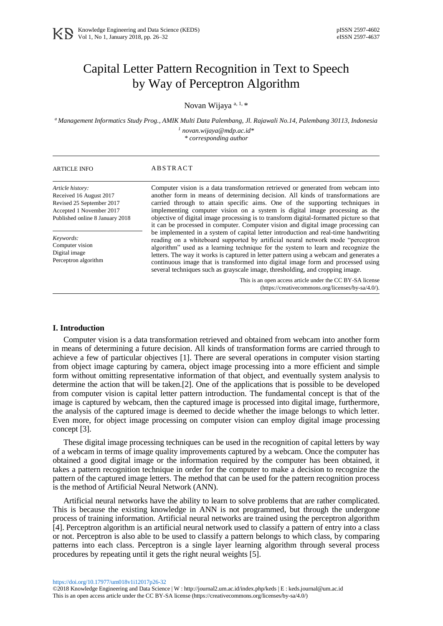# Capital Letter Pattern Recognition in Text to Speech by Way of Perceptron Algorithm

Novan Wijaya a, 1, \*

*<sup>a</sup> Management Informatics Study Prog., AMIK Multi Data Palembang, Jl. Rajawali No.14, Palembang 30113, Indonesia <sup>1</sup> novan.wijaya@mdp.ac.id\**

*\* corresponding author*

| <b>ARTICLE INFO</b>                                                                                                                     | ABSTRACT                                                                                                                                                                                                                                                                                                                                                                                                                                                                                                                   |
|-----------------------------------------------------------------------------------------------------------------------------------------|----------------------------------------------------------------------------------------------------------------------------------------------------------------------------------------------------------------------------------------------------------------------------------------------------------------------------------------------------------------------------------------------------------------------------------------------------------------------------------------------------------------------------|
| Article history:<br>Received 16 August 2017<br>Revised 25 September 2017<br>Accepted 1 November 2017<br>Published online 8 January 2018 | Computer vision is a data transformation retrieved or generated from webcam into<br>another form in means of determining decision. All kinds of transformations are<br>carried through to attain specific aims. One of the supporting techniques in<br>implementing computer vision on a system is digital image processing as the<br>objective of digital image processing is to transform digital-formatted picture so that<br>it can be processed in computer. Computer vision and digital image processing can         |
| Keywords:<br>Computer vision<br>Digital image<br>Perceptron algorithm                                                                   | be implemented in a system of capital letter introduction and real-time handwriting<br>reading on a whiteboard supported by artificial neural network mode "perceptron<br>algorithm" used as a learning technique for the system to learn and recognize the<br>letters. The way it works is captured in letter pattern using a webcam and generates a<br>continuous image that is transformed into digital image form and processed using<br>several techniques such as grayscale image, thresholding, and cropping image. |
|                                                                                                                                         | This is an open access article under the CC BY-SA license<br>(https://creativecommons.org/licenses/by-sa/4.0/).                                                                                                                                                                                                                                                                                                                                                                                                            |

### **I. Introduction**

Computer vision is a data transformation retrieved and obtained from webcam into another form in means of determining a future decision. All kinds of transformation forms are carried through to achieve a few of particular objectives [1]. There are several operations in computer vision starting from object image capturing by camera, object image processing into a more efficient and simple form without omitting representative information of that object, and eventually system analysis to determine the action that will be taken.[2]. One of the applications that is possible to be developed from computer vision is capital letter pattern introduction. The fundamental concept is that of the image is captured by webcam, then the captured image is processed into digital image, furthermore, the analysis of the captured image is deemed to decide whether the image belongs to which letter. Even more, for object image processing on computer vision can employ digital image processing concept [3].

These digital image processing techniques can be used in the recognition of capital letters by way of a webcam in terms of image quality improvements captured by a webcam. Once the computer has obtained a good digital image or the information required by the computer has been obtained, it takes a pattern recognition technique in order for the computer to make a decision to recognize the pattern of the captured image letters. The method that can be used for the pattern recognition process is the method of Artificial Neural Network (ANN).

Artificial neural networks have the ability to learn to solve problems that are rather complicated. This is because the existing knowledge in ANN is not programmed, but through the undergone process of training information. Artificial neural networks are trained using the perceptron algorithm [4]. Perceptron algorithm is an artificial neural network used to classify a pattern of entry into a class or not. Perceptron is also able to be used to classify a pattern belongs to which class, by comparing patterns into each class. Perceptron is a single layer learning algorithm through several process procedures by repeating until it gets the right neural weights [5].

<https://doi.org/10.17977/um018v1i12017p26-32>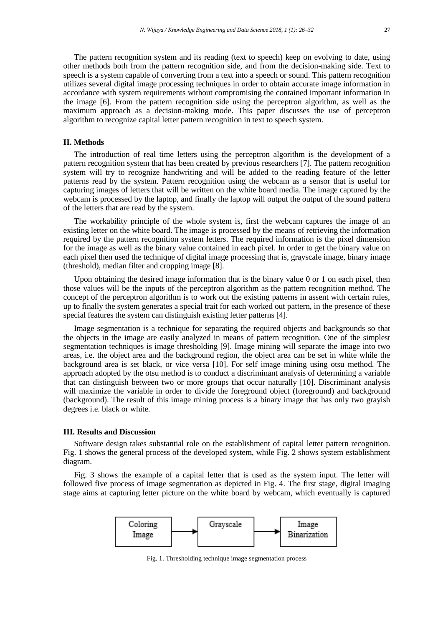# **II. Methods**

The introduction of real time letters using the perceptron algorithm is the development of a pattern recognition system that has been created by previous researchers [7]. The pattern recognition system will try to recognize handwriting and will be added to the reading feature of the letter patterns read by the system. Pattern recognition using the webcam as a sensor that is useful for capturing images of letters that will be written on the white board media. The image captured by the webcam is processed by the laptop, and finally the laptop will output the output of the sound pattern of the letters that are read by the system.

The workability principle of the whole system is, first the webcam captures the image of an existing letter on the white board. The image is processed by the means of retrieving the information required by the pattern recognition system letters. The required information is the pixel dimension for the image as well as the binary value contained in each pixel. In order to get the binary value on each pixel then used the technique of digital image processing that is, grayscale image, binary image (threshold), median filter and cropping image [8].

Upon obtaining the desired image information that is the binary value 0 or 1 on each pixel, then those values will be the inputs of the perceptron algorithm as the pattern recognition method. The concept of the perceptron algorithm is to work out the existing patterns in assent with certain rules, up to finally the system generates a special trait for each worked out pattern, in the presence of these special features the system can distinguish existing letter patterns [4].

Image segmentation is a technique for separating the required objects and backgrounds so that the objects in the image are easily analyzed in means of pattern recognition. One of the simplest segmentation techniques is image thresholding [9]. Image mining will separate the image into two areas, i.e. the object area and the background region, the object area can be set in white while the background area is set black, or vice versa [10]. For self image mining using otsu method. The approach adopted by the otsu method is to conduct a discriminant analysis of determining a variable that can distinguish between two or more groups that occur naturally [10]. Discriminant analysis will maximize the variable in order to divide the foreground object (foreground) and background (background). The result of this image mining process is a binary image that has only two grayish degrees i.e. black or white.

#### **III. Results and Discussion**

Software design takes substantial role on the establishment of capital letter pattern recognition. Fig. 1 shows the general process of the developed system, while Fig. 2 shows system establishment diagram.

Fig. 3 shows the example of a capital letter that is used as the system input. The letter will followed five process of image segmentation as depicted in Fig. 4. The first stage, digital imaging stage aims at capturing letter picture on the white board by webcam, which eventually is captured



Fig. 1. Thresholding technique image segmentation process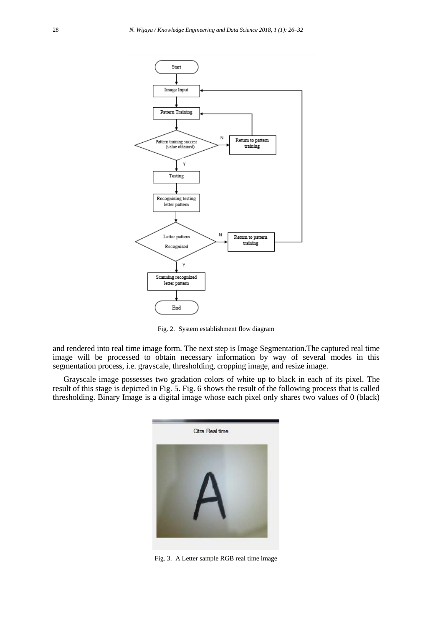

Fig. 2. System establishment flow diagram

and rendered into real time image form. The next step is Image Segmentation.The captured real time image will be processed to obtain necessary information by way of several modes in this segmentation process, i.e. grayscale, thresholding, cropping image, and resize image.

Grayscale image possesses two gradation colors of white up to black in each of its pixel. The result of this stage is depicted in Fig. 5. Fig. 6 shows the result of the following process that is called thresholding. Binary Image is a digital image whose each pixel only shares two values of 0 (black)



Fig. 3. A Letter sample RGB real time image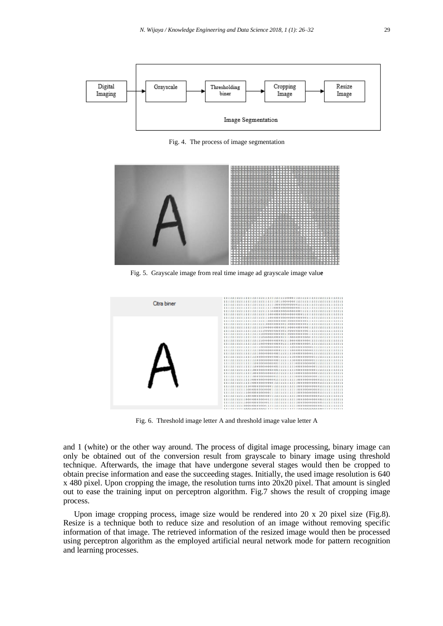

Fig. 4. The process of image segmentation



Fig. 5. Grayscale image from real time image ad grayscale image valu**e**



Fig. 6. Threshold image letter A and threshold image value letter A

and 1 (white) or the other way around. The process of digital image processing, binary image can only be obtained out of the conversion result from grayscale to binary image using threshold technique. Afterwards, the image that have undergone several stages would then be cropped to obtain precise information and ease the succeeding stages. Initially, the used image resolution is 640 x 480 pixel. Upon cropping the image, the resolution turns into 20x20 pixel. That amount is singled out to ease the training input on perceptron algorithm. Fig.7 shows the result of cropping image process.

Upon image cropping process, image size would be rendered into 20 x 20 pixel size (Fig.8). Resize is a technique both to reduce size and resolution of an image without removing specific information of that image. The retrieved information of the resized image would then be processed using perceptron algorithm as the employed artificial neural network mode for pattern recognition and learning processes.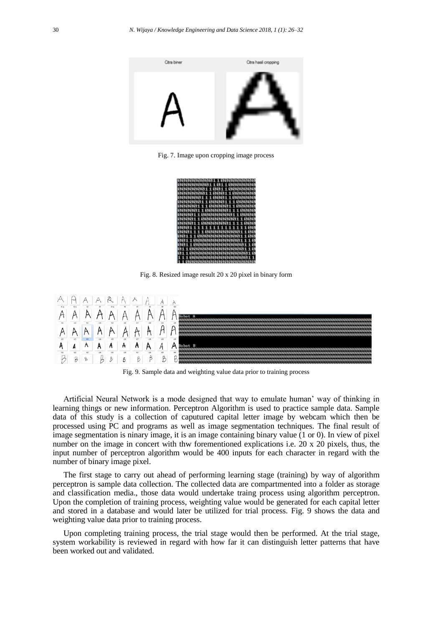

Fig. 7. Image upon cropping image process

| 0000000000110000000000 |  |  |
|------------------------|--|--|
| 00000000110110000000   |  |  |
| 00000001100110000000   |  |  |
| 800000081100011000000  |  |  |
| 80000011100011000000   |  |  |
| 00000011000011100000   |  |  |
| 88888111888881188888   |  |  |
| 00000110000001110000   |  |  |
| 00001100000000110000   |  |  |
| 88881188888888811888   |  |  |
| 00001100000001111000   |  |  |
| 0001111111111111100    |  |  |
| 80011110000000001100   |  |  |
| 00111000000000001100   |  |  |
| 88118888888888881118   |  |  |
| 88110000000000000110   |  |  |
| 811000000000000000110  |  |  |
| 811000000000000000010  |  |  |
| 11100000000000000011   |  |  |
| 1100000000000000000    |  |  |
|                        |  |  |

Fig. 8. Resized image result 20 x 20 pixel in binary form



Fig. 9. Sample data and weighting value data prior to training process

Artificial Neural Network is a mode designed that way to emulate human' way of thinking in learning things or new information. Perceptron Algorithm is used to practice sample data. Sample data of this study is a collection of caputured capital letter image by webcam which then be processed using PC and programs as well as image segmentation techniques. The final result of image segmentation is ninary image, it is an image containing binary value (1 or 0). In view of pixel number on the image in concert with thw forementioned explications i.e. 20 x 20 pixels, thus, the input number of perceptron algorithm would be 400 inputs for each character in regard with the number of binary image pixel.

The first stage to carry out ahead of performing learning stage (training) by way of algorithm perceptron is sample data collection. The collected data are compartmented into a folder as storage and classification media., those data would undertake traing process using algorithm perceptron. Upon the completion of training process, weighting value would be generated for each capital letter and stored in a database and would later be utilized for trial process. Fig. 9 shows the data and weighting value data prior to training process.

Upon completing training process, the trial stage would then be performed. At the trial stage, system workability is reviewed in regard with how far it can distinguish letter patterns that have been worked out and validated.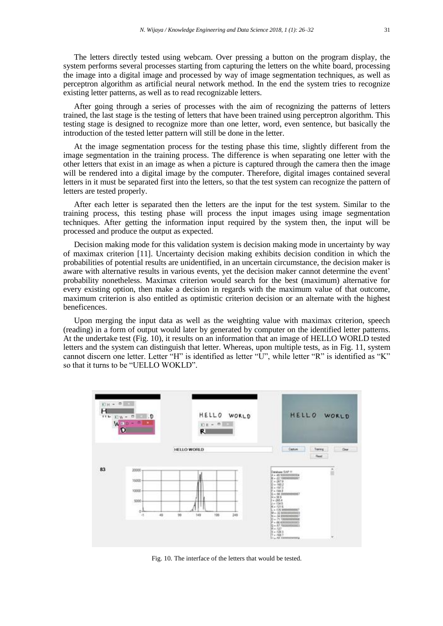The letters directly tested using webcam. Over pressing a button on the program display, the system performs several processes starting from capturing the letters on the white board, processing the image into a digital image and processed by way of image segmentation techniques, as well as perceptron algorithm as artificial neural network method. In the end the system tries to recognize existing letter patterns, as well as to read recognizable letters.

After going through a series of processes with the aim of recognizing the patterns of letters trained, the last stage is the testing of letters that have been trained using perceptron algorithm. This testing stage is designed to recognize more than one letter, word, even sentence, but basically the introduction of the tested letter pattern will still be done in the letter.

At the image segmentation process for the testing phase this time, slightly different from the image segmentation in the training process. The difference is when separating one letter with the other letters that exist in an image as when a picture is captured through the camera then the image will be rendered into a digital image by the computer. Therefore, digital images contained several letters in it must be separated first into the letters, so that the test system can recognize the pattern of letters are tested properly.

After each letter is separated then the letters are the input for the test system. Similar to the training process, this testing phase will process the input images using image segmentation techniques. After getting the information input required by the system then, the input will be processed and produce the output as expected.

Decision making mode for this validation system is decision making mode in uncertainty by way of maximax criterion [11]. Uncertainty decision making exhibits decision condition in which the probabilities of potential results are unidentified, in an uncertain circumstance, the decision maker is aware with alternative results in various events, yet the decision maker cannot determine the event' probability nonetheless. Maximax criterion would search for the best (maximum) alternative for every existing option, then make a decision in regards with the maximum value of that outcome, maximum criterion is also entitled as optimistic criterion decision or an alternate with the highest beneficences.

Upon merging the input data as well as the weighting value with maximax criterion, speech (reading) in a form of output would later by generated by computer on the identified letter patterns. At the undertake test (Fig. 10), it results on an information that an image of HELLO WORLD tested letters and the system can distinguish that letter. Whereas, upon multiple tests, as in Fig. 11, system cannot discern one letter. Letter "H" is identified as letter "U", while letter "R" is identified as "K" so that it turns to be "UELLO WOKLD".



Fig. 10. The interface of the letters that would be tested.